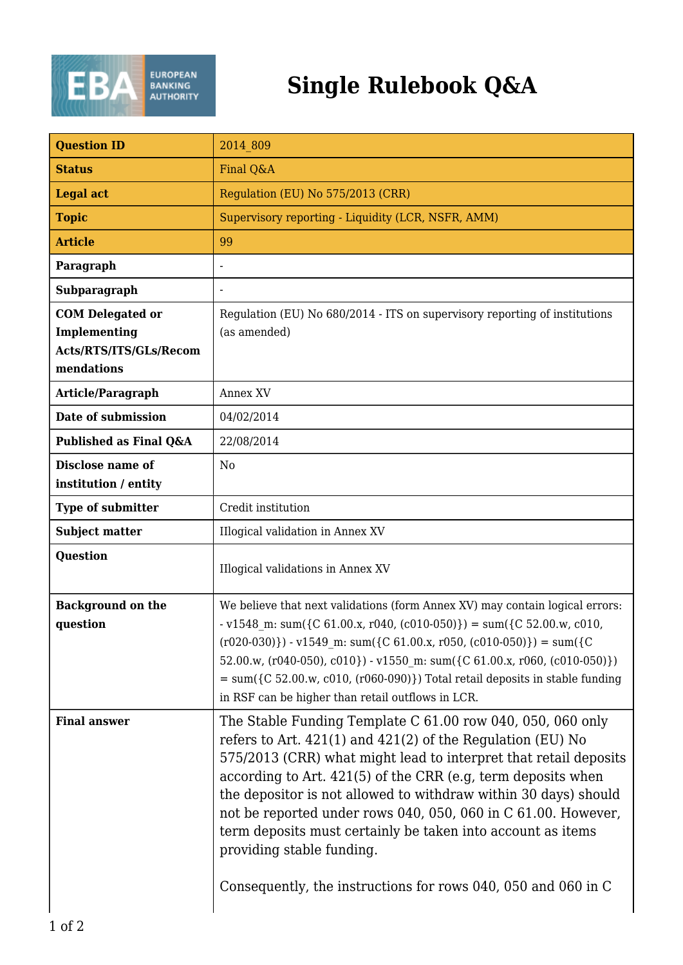

## **Single Rulebook Q&A**

| <b>Question ID</b>                                                              | 2014 809                                                                                                                                                                                                                                                                                                                                                                                                                                                                                                                                                          |
|---------------------------------------------------------------------------------|-------------------------------------------------------------------------------------------------------------------------------------------------------------------------------------------------------------------------------------------------------------------------------------------------------------------------------------------------------------------------------------------------------------------------------------------------------------------------------------------------------------------------------------------------------------------|
| <b>Status</b>                                                                   | Final Q&A                                                                                                                                                                                                                                                                                                                                                                                                                                                                                                                                                         |
| <b>Legal act</b>                                                                | Regulation (EU) No 575/2013 (CRR)                                                                                                                                                                                                                                                                                                                                                                                                                                                                                                                                 |
| <b>Topic</b>                                                                    | Supervisory reporting - Liquidity (LCR, NSFR, AMM)                                                                                                                                                                                                                                                                                                                                                                                                                                                                                                                |
| <b>Article</b>                                                                  | 99                                                                                                                                                                                                                                                                                                                                                                                                                                                                                                                                                                |
| Paragraph                                                                       |                                                                                                                                                                                                                                                                                                                                                                                                                                                                                                                                                                   |
| Subparagraph                                                                    |                                                                                                                                                                                                                                                                                                                                                                                                                                                                                                                                                                   |
| <b>COM Delegated or</b><br>Implementing<br>Acts/RTS/ITS/GLs/Recom<br>mendations | Regulation (EU) No 680/2014 - ITS on supervisory reporting of institutions<br>(as amended)                                                                                                                                                                                                                                                                                                                                                                                                                                                                        |
| Article/Paragraph                                                               | Annex XV                                                                                                                                                                                                                                                                                                                                                                                                                                                                                                                                                          |
| Date of submission                                                              | 04/02/2014                                                                                                                                                                                                                                                                                                                                                                                                                                                                                                                                                        |
| Published as Final Q&A                                                          | 22/08/2014                                                                                                                                                                                                                                                                                                                                                                                                                                                                                                                                                        |
| Disclose name of<br>institution / entity                                        | N <sub>o</sub>                                                                                                                                                                                                                                                                                                                                                                                                                                                                                                                                                    |
| <b>Type of submitter</b>                                                        | Credit institution                                                                                                                                                                                                                                                                                                                                                                                                                                                                                                                                                |
| <b>Subject matter</b>                                                           | Illogical validation in Annex XV                                                                                                                                                                                                                                                                                                                                                                                                                                                                                                                                  |
| <b>Question</b>                                                                 | Illogical validations in Annex XV                                                                                                                                                                                                                                                                                                                                                                                                                                                                                                                                 |
| <b>Background on the</b><br>question                                            | We believe that next validations (form Annex XV) may contain logical errors:<br>$-v1548$ m: sum({C 61.00.x, r040, (c010-050)}) = sum({C 52.00.w, c010,<br>$(0.020-0.030)$ - v1549 m: sum({C 61.00.x, r050, (c010-050)}) = sum({C<br>52.00.w, $(0.010, 0.010) - v1550$ m: sum $($ [C 61.00.x, r060, (c010-050)})<br>$=$ sum({C 52.00.w, c010, (r060-090)}) Total retail deposits in stable funding<br>in RSF can be higher than retail outflows in LCR.                                                                                                            |
| <b>Final answer</b>                                                             | The Stable Funding Template C 61.00 row 040, 050, 060 only<br>refers to Art. $421(1)$ and $421(2)$ of the Regulation (EU) No<br>575/2013 (CRR) what might lead to interpret that retail deposits<br>according to Art. 421(5) of the CRR (e.g. term deposits when<br>the depositor is not allowed to withdraw within 30 days) should<br>not be reported under rows 040, 050, 060 in C 61.00. However,<br>term deposits must certainly be taken into account as items<br>providing stable funding.<br>Consequently, the instructions for rows 040, 050 and 060 in C |